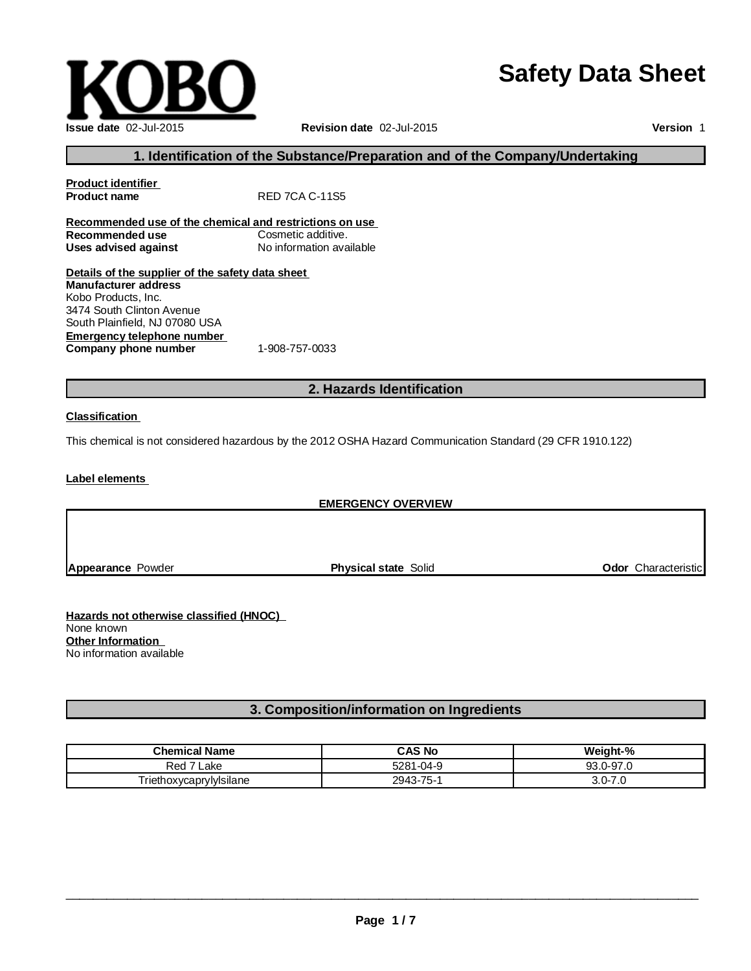# **Safety Data Sheet**



**Version** 1

# **1. Identification of the Substance/Preparation and of the Company/Undertaking**

| <b>Product identifier</b>                                                                              |                          |
|--------------------------------------------------------------------------------------------------------|--------------------------|
| <b>Product name</b>                                                                                    | <b>RED 7CA C-11S5</b>    |
| Recommended use of the chemical and restrictions on use                                                |                          |
| Recommended use                                                                                        | Cosmetic additive.       |
| <b>Uses advised against</b>                                                                            | No information available |
| Details of the supplier of the safety data sheet<br><b>Manufacturer address</b><br>Kobo Products, Inc. |                          |
| 3474 South Clinton Avenue<br>South Plainfield, NJ 07080 USA                                            |                          |
| <b>Emergency telephone number</b>                                                                      |                          |
| Company phone number                                                                                   | 1-908-757-0033           |

# **2. Hazards Identification**

#### **Classification**

This chemical is not considered hazardous by the 2012 OSHA Hazard Communication Standard (29 CFR 1910.122)

**Label elements**

## **EMERGENCY OVERVIEW**

**Appearance** Powder **Physical state** Solid **Odor** Characteristic

**Hazards not otherwise classified (HNOC)** None known **Other Information** No information available

# **3. Composition/information on Ingredients**

| <b>Chemical Name</b>                                | CAS No    | Weight-%        |
|-----------------------------------------------------|-----------|-----------------|
| Red<br>_ake                                         | 5281-04-9 | 93.0-97.0       |
| $\overline{\phantom{a}}$<br>Triethoxycaprylylsilane | 2943-75-1 | $3.0 - 7$<br>ى. |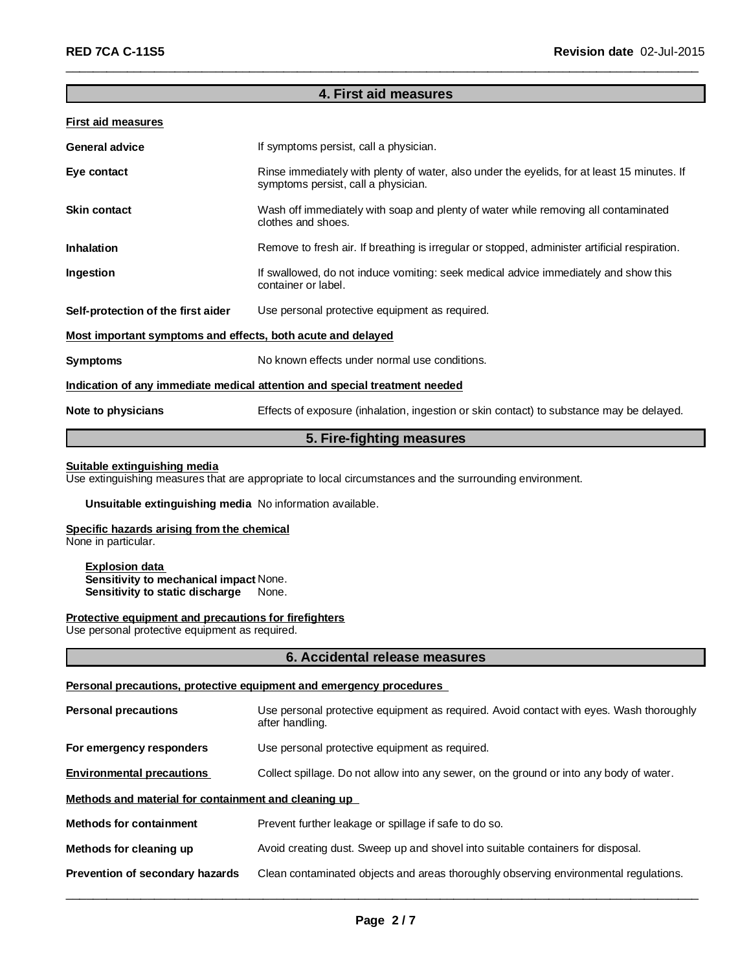## **4. First aid measures**

\_\_\_\_\_\_\_\_\_\_\_\_\_\_\_\_\_\_\_\_\_\_\_\_\_\_\_\_\_\_\_\_\_\_\_\_\_\_\_\_\_\_\_\_\_\_\_\_\_\_\_\_\_\_\_\_\_\_\_\_\_\_\_\_\_\_\_\_\_\_\_\_\_\_\_\_\_\_\_\_\_\_\_\_\_\_\_\_\_\_\_\_\_

#### **First aid measures**

| <b>General advice</b>                                       | If symptoms persist, call a physician.                                                                                             |
|-------------------------------------------------------------|------------------------------------------------------------------------------------------------------------------------------------|
| Eye contact                                                 | Rinse immediately with plenty of water, also under the eyelids, for at least 15 minutes. If<br>symptoms persist, call a physician. |
| <b>Skin contact</b>                                         | Wash off immediately with soap and plenty of water while removing all contaminated<br>clothes and shoes.                           |
| <b>Inhalation</b>                                           | Remove to fresh air. If breathing is irregular or stopped, administer artificial respiration.                                      |
| Ingestion                                                   | If swallowed, do not induce vomiting: seek medical advice immediately and show this<br>container or label.                         |
| Self-protection of the first aider                          | Use personal protective equipment as required.                                                                                     |
| Most important symptoms and effects, both acute and delayed |                                                                                                                                    |
| <b>Symptoms</b>                                             | No known effects under normal use conditions.                                                                                      |
|                                                             | Indication of any immediate medical attention and special treatment needed                                                         |
| Note to physicians                                          | Effects of exposure (inhalation, ingestion or skin contact) to substance may be delayed.                                           |

## **5. Fire-fighting measures**

#### **Suitable extinguishing media**

Use extinguishing measures that are appropriate to local circumstances and the surrounding environment.

## **Unsuitable extinguishing media** No information available.

## **Specific hazards arising from the chemical**

None in particular.

#### **Explosion data Sensitivity to mechanical impact** None. **Sensitivity to static discharge** None.

#### **Protective equipment and precautions for firefighters**

Use personal protective equipment as required.

#### **6. Accidental release measures**

#### **Personal precautions, protective equipment and emergency procedures**

| <b>Personal precautions</b>                          | Use personal protective equipment as required. Avoid contact with eyes. Wash thoroughly<br>after handling. |  |
|------------------------------------------------------|------------------------------------------------------------------------------------------------------------|--|
| For emergency responders                             | Use personal protective equipment as required.                                                             |  |
| <b>Environmental precautions</b>                     | Collect spillage. Do not allow into any sewer, on the ground or into any body of water.                    |  |
| Methods and material for containment and cleaning up |                                                                                                            |  |
| <b>Methods for containment</b>                       | Prevent further leakage or spillage if safe to do so.                                                      |  |
| Methods for cleaning up                              | Avoid creating dust. Sweep up and shovel into suitable containers for disposal.                            |  |
| Prevention of secondary hazards                      | Clean contaminated objects and areas thoroughly observing environmental regulations.                       |  |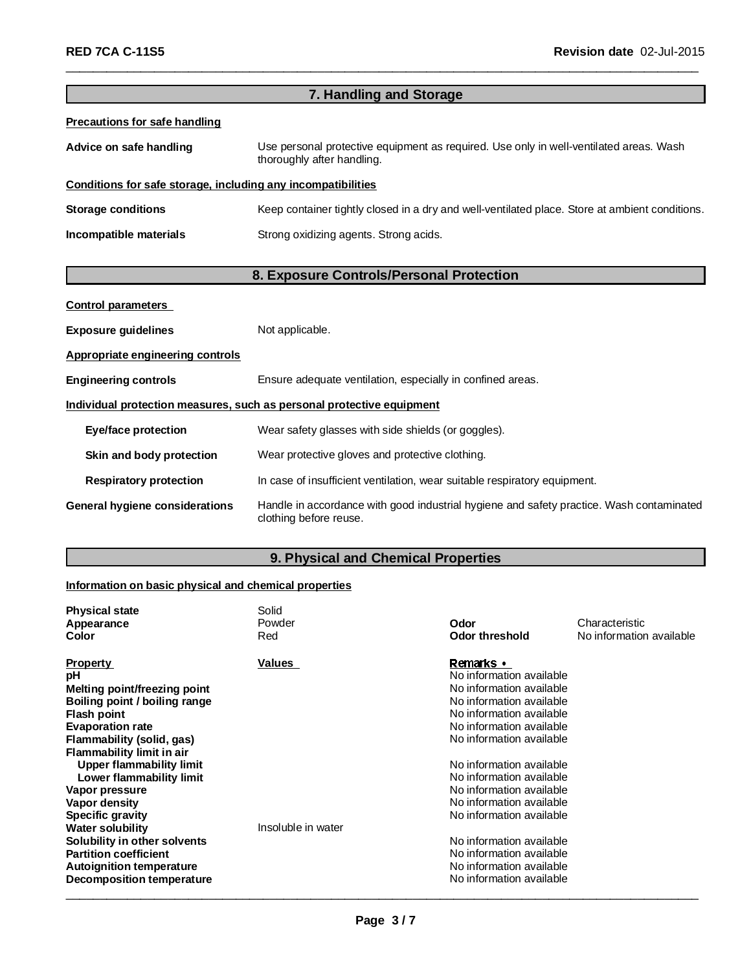| 7. Handling and Storage                                      |                                                                                                                      |  |
|--------------------------------------------------------------|----------------------------------------------------------------------------------------------------------------------|--|
| <b>Precautions for safe handling</b>                         |                                                                                                                      |  |
| Advice on safe handling                                      | Use personal protective equipment as required. Use only in well-ventilated areas. Wash<br>thoroughly after handling. |  |
| Conditions for safe storage, including any incompatibilities |                                                                                                                      |  |
| <b>Storage conditions</b>                                    | Keep container tightly closed in a dry and well-ventilated place. Store at ambient conditions.                       |  |
| Incompatible materials                                       | Strong oxidizing agents. Strong acids.                                                                               |  |
|                                                              |                                                                                                                      |  |
|                                                              | 8. Exposure Controls/Personal Protection                                                                             |  |
| <b>Control parameters</b>                                    |                                                                                                                      |  |
| <b>Exposure guidelines</b>                                   | Not applicable.                                                                                                      |  |
| Appropriate engineering controls                             |                                                                                                                      |  |
| <b>Engineering controls</b>                                  | Ensure adequate ventilation, especially in confined areas.                                                           |  |
|                                                              | Individual protection measures, such as personal protective equipment                                                |  |
| Eye/face protection                                          | Wear safety glasses with side shields (or goggles).                                                                  |  |
| Skin and body protection                                     | Wear protective gloves and protective clothing.                                                                      |  |
| <b>Respiratory protection</b>                                | In case of insufficient ventilation, wear suitable respiratory equipment.                                            |  |

\_\_\_\_\_\_\_\_\_\_\_\_\_\_\_\_\_\_\_\_\_\_\_\_\_\_\_\_\_\_\_\_\_\_\_\_\_\_\_\_\_\_\_\_\_\_\_\_\_\_\_\_\_\_\_\_\_\_\_\_\_\_\_\_\_\_\_\_\_\_\_\_\_\_\_\_\_\_\_\_\_\_\_\_\_\_\_\_\_\_\_\_\_

**General hygiene considerations** Handle in accordance with good industrial hygiene and safety practice. Wash contaminated clothing before reuse.

# **9. Physical and Chemical Properties**

# **Information on basic physical and chemical properties**

| <b>Physical state</b>               | Solid              |                          |                          |
|-------------------------------------|--------------------|--------------------------|--------------------------|
| Appearance                          | Powder             | Odor                     | Characteristic           |
| Color                               | Red                | Odor threshold           | No information available |
| <b>Property</b>                     | Values             | Remarks •                |                          |
| рH                                  |                    | No information available |                          |
| <b>Melting point/freezing point</b> |                    | No information available |                          |
| Boiling point / boiling range       |                    | No information available |                          |
| <b>Flash point</b>                  |                    | No information available |                          |
| <b>Evaporation rate</b>             |                    | No information available |                          |
| Flammability (solid, gas)           |                    | No information available |                          |
| Flammability limit in air           |                    |                          |                          |
| <b>Upper flammability limit</b>     |                    | No information available |                          |
| Lower flammability limit            |                    | No information available |                          |
| Vapor pressure                      |                    | No information available |                          |
| Vapor density                       |                    | No information available |                          |
| Specific gravity                    |                    | No information available |                          |
| <b>Water solubility</b>             | Insoluble in water |                          |                          |
| Solubility in other solvents        |                    | No information available |                          |
| <b>Partition coefficient</b>        |                    | No information available |                          |
| <b>Autoignition temperature</b>     |                    | No information available |                          |
| <b>Decomposition temperature</b>    |                    | No information available |                          |
|                                     |                    |                          |                          |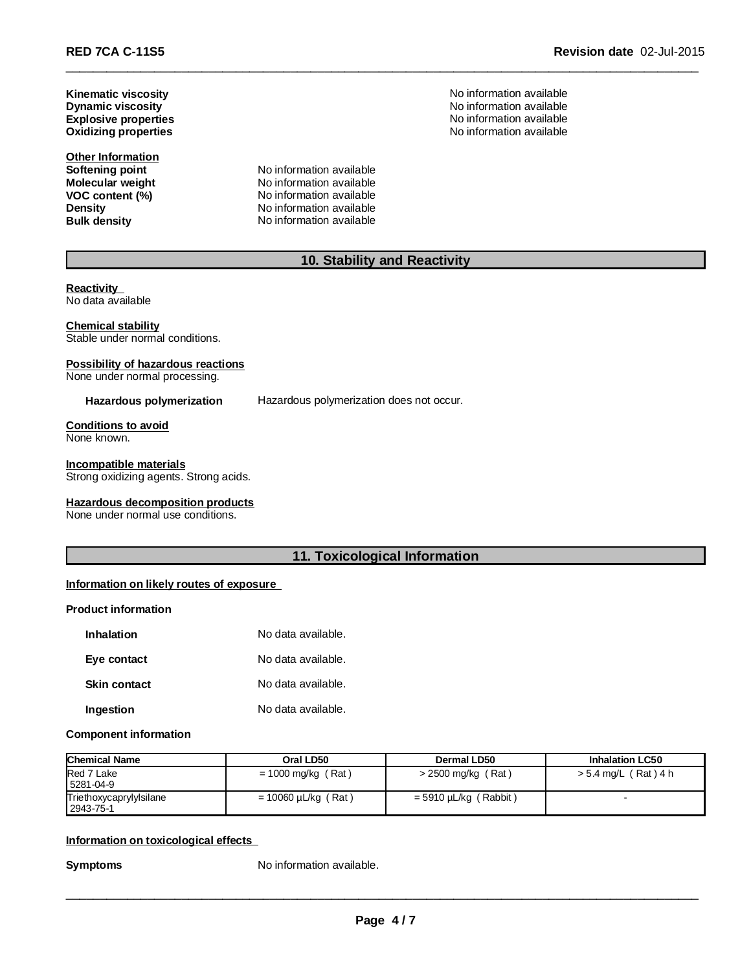**Oxidizing properties Dynamic viscosity Kinematic viscosity Explosive properties** 

**Other Information**

**Softening point**<br> **Molecular weight**<br> **Molecular weight**<br> **Molecular weight**<br> **Molecular weight Molecular weight**<br> **VOC content (%)**<br>
No information available<br>
No information available **VOC content (%)** No information available<br> **Density** No information available **No information available Bulk density** No information available

No information available No information available No information available<br>No information available

# **10. Stability and Reactivity**

\_\_\_\_\_\_\_\_\_\_\_\_\_\_\_\_\_\_\_\_\_\_\_\_\_\_\_\_\_\_\_\_\_\_\_\_\_\_\_\_\_\_\_\_\_\_\_\_\_\_\_\_\_\_\_\_\_\_\_\_\_\_\_\_\_\_\_\_\_\_\_\_\_\_\_\_\_\_\_\_\_\_\_\_\_\_\_\_\_\_\_\_\_

**Reactivity** No data available

#### **Chemical stability**

Stable under normal conditions.

## **Possibility of hazardous reactions**

None under normal processing.

**Hazardous polymerization** Hazardous polymerization does not occur.

#### **Conditions to avoid** None known.

#### **Incompatible materials**

Strong oxidizing agents. Strong acids.

#### **Hazardous decomposition products**

None under normal use conditions.

## **11. Toxicological Information**

## **Information on likely routes of exposure**

#### **Product information**

| Inhalation          | No data available. |
|---------------------|--------------------|
| Eye contact         | No data available. |
| <b>Skin contact</b> | No data available. |
| Ingestion           | No data available. |

#### **Component information**

| <b>Chemical Name</b>                 | Oral LD50                | Dermal LD50                | <b>Inhalation LC50</b> |
|--------------------------------------|--------------------------|----------------------------|------------------------|
| Red 7 Lake<br>5281-04-9              | $= 1000$ mg/kg (Rat)     | $>$ 2500 mg/kg (Rat)       | $> 5.4$ mg/L (Rat) 4 h |
| Triethoxycaprylylsilane<br>2943-75-1 | $= 10060 \mu L/kg$ (Rat) | (Rabbit)<br>= 5910 µL/kg ( |                        |

#### **Information on toxicological effects**

**Symptoms** No information available.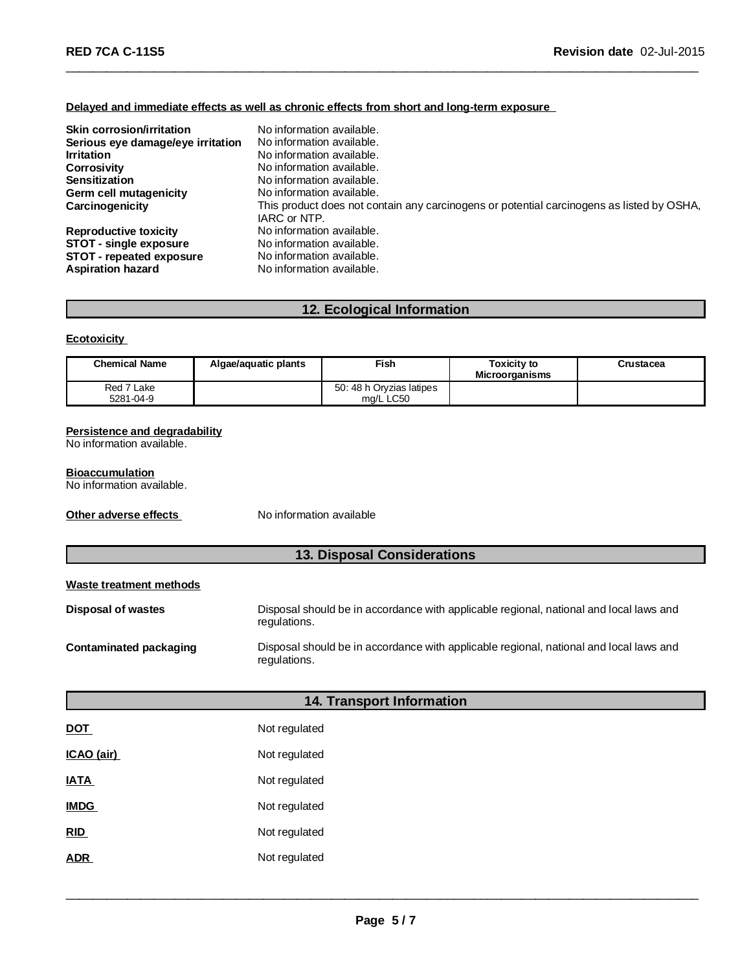## **Delayed and immediate effects as well as chronic effects from short and long-term exposure**

| Skin corrosion/irritation<br>Serious eye damage/eye irritation<br><b>Irritation</b><br><b>Corrosivity</b><br><b>Sensitization</b><br>Germ cell mutagenicity<br>Carcinogenicity | No information available.<br>No information available.<br>No information available.<br>No information available.<br>No information available.<br>No information available.<br>This product does not contain any carcinogens or potential carcinogens as listed by OSHA,<br>IARC or NTP. |
|--------------------------------------------------------------------------------------------------------------------------------------------------------------------------------|-----------------------------------------------------------------------------------------------------------------------------------------------------------------------------------------------------------------------------------------------------------------------------------------|
| <b>Reproductive toxicity</b>                                                                                                                                                   | No information available.                                                                                                                                                                                                                                                               |
| STOT - single exposure                                                                                                                                                         | No information available.                                                                                                                                                                                                                                                               |
| STOT - repeated exposure                                                                                                                                                       | No information available.                                                                                                                                                                                                                                                               |
| <b>Aspiration hazard</b>                                                                                                                                                       | No information available.                                                                                                                                                                                                                                                               |

\_\_\_\_\_\_\_\_\_\_\_\_\_\_\_\_\_\_\_\_\_\_\_\_\_\_\_\_\_\_\_\_\_\_\_\_\_\_\_\_\_\_\_\_\_\_\_\_\_\_\_\_\_\_\_\_\_\_\_\_\_\_\_\_\_\_\_\_\_\_\_\_\_\_\_\_\_\_\_\_\_\_\_\_\_\_\_\_\_\_\_\_\_

# **12. Ecological Information**

## **Ecotoxicity**

| <b>Chemical Name</b>    | Algae/aguatic plants | Fish                                  | <b>Toxicity to</b><br><b>Microorganisms</b> | Crustacea |
|-------------------------|----------------------|---------------------------------------|---------------------------------------------|-----------|
| Red 7 Lake<br>5281-04-9 |                      | 50: 48 h Orvzias latipes<br>ma/L LC50 |                                             |           |

## **Persistence and degradability**

No information available.

## **Bioaccumulation**

No information available.

**Other adverse effects** No information available

# **13. Disposal Considerations**

## **Waste treatment methods**

| Disposal of wastes     | Disposal should be in accordance with applicable regional, national and local laws and<br>regulations. |
|------------------------|--------------------------------------------------------------------------------------------------------|
| Contaminated packaging | Disposal should be in accordance with applicable regional, national and local laws and<br>regulations. |

# **14. Transport Information**

| <b>DOT</b>  | Not regulated |
|-------------|---------------|
| ICAO (air)  | Not regulated |
| <b>IATA</b> | Not regulated |
| <b>IMDG</b> | Not regulated |
| <b>RID</b>  | Not regulated |
| ADR         | Not regulated |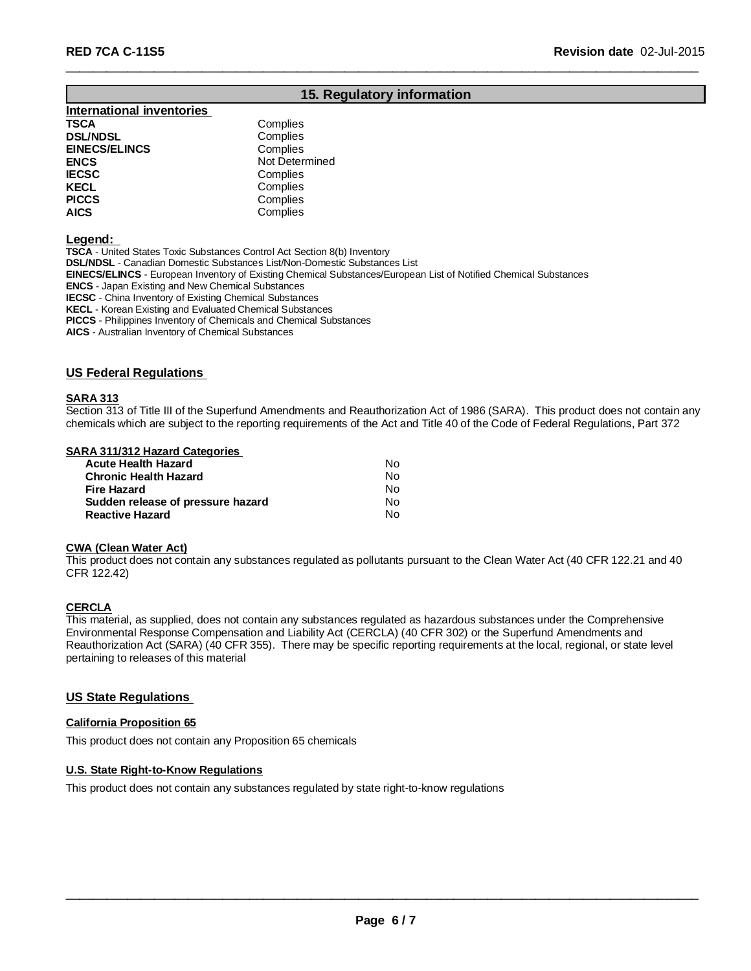# **15. Regulatory information**

\_\_\_\_\_\_\_\_\_\_\_\_\_\_\_\_\_\_\_\_\_\_\_\_\_\_\_\_\_\_\_\_\_\_\_\_\_\_\_\_\_\_\_\_\_\_\_\_\_\_\_\_\_\_\_\_\_\_\_\_\_\_\_\_\_\_\_\_\_\_\_\_\_\_\_\_\_\_\_\_\_\_\_\_\_\_\_\_\_\_\_\_\_

## **International inventories TSCA** Complies<br> **DSL/NDSL** Complies **DSL/NDSL**<br> **EINECS/ELINCS EINECS/ELINCS Complies EINECS/ELINCS ENCS** Not Determined **IECSC** Complies **KECL Complies**<br> **PICCS** Complies **PICCS** Complies<br> **AICS** Complies **AICS** Complies

**Legend:**

**TSCA** - United States Toxic Substances Control Act Section 8(b) Inventory **DSL/NDSL** - Canadian Domestic Substances List/Non-Domestic Substances List **EINECS/ELINCS** - European Inventory of Existing Chemical Substances/European List of Notified Chemical Substances **ENCS** - Japan Existing and New Chemical Substances **IECSC** - China Inventory of Existing Chemical Substances **KECL** - Korean Existing and Evaluated Chemical Substances **PICCS** - Philippines Inventory of Chemicals and Chemical Substances

**AICS** - Australian Inventory of Chemical Substances

#### **US Federal Regulations**

## **SARA 313**

Section 313 of Title III of the Superfund Amendments and Reauthorization Act of 1986 (SARA). This product does not contain any chemicals which are subject to the reporting requirements of the Act and Title 40 of the Code of Federal Regulations, Part 372

## **SARA 311/312 Hazard Categories**

| Acute Health Hazard               | N٥ |
|-----------------------------------|----|
| Chronic Health Hazard             | No |
| Fire Hazard                       | N٥ |
| Sudden release of pressure hazard | N٥ |
| Reactive Hazard                   | N٥ |

#### **CWA (Clean Water Act)**

This product does not contain any substances regulated as pollutants pursuant to the Clean Water Act (40 CFR 122.21 and 40 CFR 122.42)

## **CERCLA**

This material, as supplied, does not contain any substances regulated as hazardous substances under the Comprehensive Environmental Response Compensation and Liability Act (CERCLA) (40 CFR 302) or the Superfund Amendments and Reauthorization Act (SARA) (40 CFR 355). There may be specific reporting requirements at the local, regional, or state level pertaining to releases of this material

## **US State Regulations**

#### **California Proposition 65**

This product does not contain any Proposition 65 chemicals

#### **U.S. State Right-to-Know Regulations**

This product does not contain any substances regulated by state right-to-know regulations